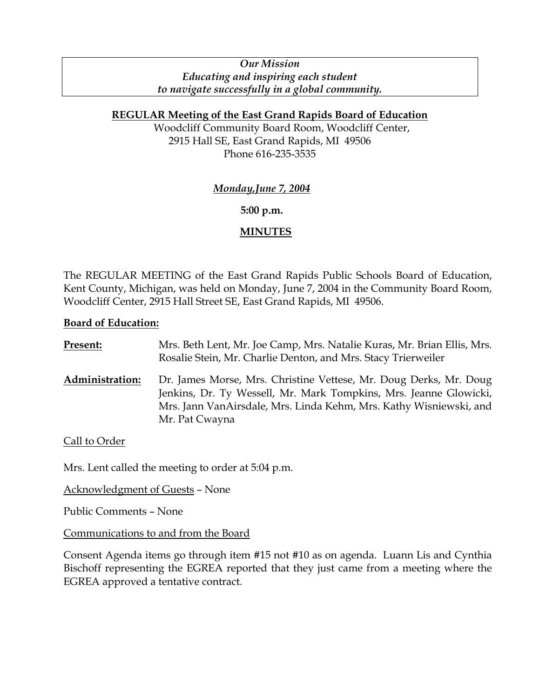# *Our Mission Educating and inspiring each student to navigate successfully in a global community.*

# **REGULAR Meeting of the East Grand Rapids Board of Education**

Woodcliff Community Board Room, Woodcliff Center, 2915 Hall SE, East Grand Rapids, MI 49506 Phone 616-235-3535

# *Monday,June 7, 2004*

## **5:00 p.m.**

# **MINUTES**

The REGULAR MEETING of the East Grand Rapids Public Schools Board of Education, Kent County, Michigan, was held on Monday, June 7, 2004 in the Community Board Room, Woodcliff Center, 2915 Hall Street SE, East Grand Rapids, MI 49506.

## **Board of Education:**

| <b>Present:</b>        | Mrs. Beth Lent, Mr. Joe Camp, Mrs. Natalie Kuras, Mr. Brian Ellis, Mrs.<br>Rosalie Stein, Mr. Charlie Denton, and Mrs. Stacy Trierweiler                                                                                       |
|------------------------|--------------------------------------------------------------------------------------------------------------------------------------------------------------------------------------------------------------------------------|
| <b>Administration:</b> | Dr. James Morse, Mrs. Christine Vettese, Mr. Doug Derks, Mr. Doug<br>Jenkins, Dr. Ty Wessell, Mr. Mark Tompkins, Mrs. Jeanne Glowicki,<br>Mrs. Jann VanAirsdale, Mrs. Linda Kehm, Mrs. Kathy Wisniewski, and<br>Mr. Pat Cwayna |

## Call to Order

Mrs. Lent called the meeting to order at 5:04 p.m.

Acknowledgment of Guests – None

Public Comments – None

## Communications to and from the Board

Consent Agenda items go through item #15 not #10 as on agenda. Luann Lis and Cynthia Bischoff representing the EGREA reported that they just came from a meeting where the EGREA approved a tentative contract.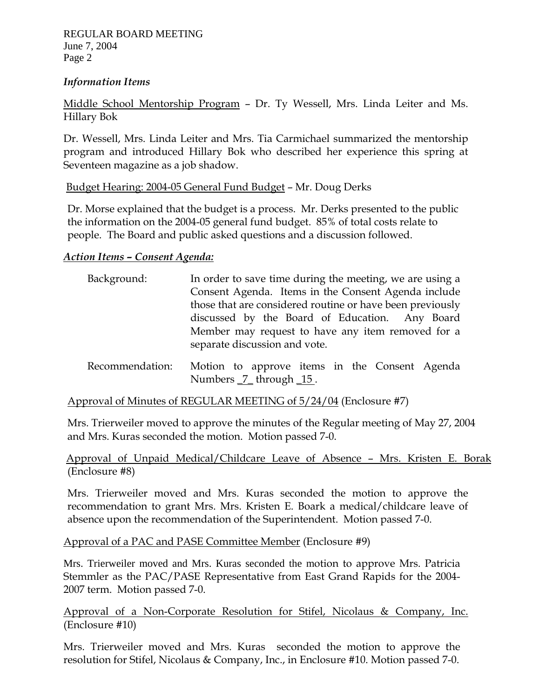#### *Information Items*

Middle School Mentorship Program – Dr. Ty Wessell, Mrs. Linda Leiter and Ms. Hillary Bok

Dr. Wessell, Mrs. Linda Leiter and Mrs. Tia Carmichael summarized the mentorship program and introduced Hillary Bok who described her experience this spring at Seventeen magazine as a job shadow.

## Budget Hearing: 2004-05 General Fund Budget – Mr. Doug Derks

Dr. Morse explained that the budget is a process. Mr. Derks presented to the public the information on the 2004-05 general fund budget. 85% of total costs relate to people. The Board and public asked questions and a discussion followed.

#### *Action Items – Consent Agenda:*

| Background:     | In order to save time during the meeting, we are using a<br>Consent Agenda. Items in the Consent Agenda include<br>those that are considered routine or have been previously |
|-----------------|------------------------------------------------------------------------------------------------------------------------------------------------------------------------------|
|                 | discussed by the Board of Education. Any Board<br>Member may request to have any item removed for a<br>separate discussion and vote.                                         |
| Recommendation: | Motion to approve items in the Consent Agenda<br>Numbers _7_through _15.                                                                                                     |

Approval of Minutes of REGULAR MEETING of 5/24/04 (Enclosure #7)

Mrs. Trierweiler moved to approve the minutes of the Regular meeting of May 27, 2004 and Mrs. Kuras seconded the motion. Motion passed 7-0.

 Approval of Unpaid Medical/Childcare Leave of Absence – Mrs. Kristen E. Borak (Enclosure #8)

Mrs. Trierweiler moved and Mrs. Kuras seconded the motion to approve the recommendation to grant Mrs. Mrs. Kristen E. Boark a medical/childcare leave of absence upon the recommendation of the Superintendent. Motion passed 7-0.

Approval of a PAC and PASE Committee Member (Enclosure #9)

Mrs. Trierweiler moved and Mrs. Kuras seconded the motion to approve Mrs. Patricia Stemmler as the PAC/PASE Representative from East Grand Rapids for the 2004- 2007 term. Motion passed 7-0.

Approval of a Non-Corporate Resolution for Stifel, Nicolaus & Company, Inc. (Enclosure #10)

Mrs. Trierweiler moved and Mrs. Kuras seconded the motion to approve the resolution for Stifel, Nicolaus & Company, Inc., in Enclosure #10. Motion passed 7-0.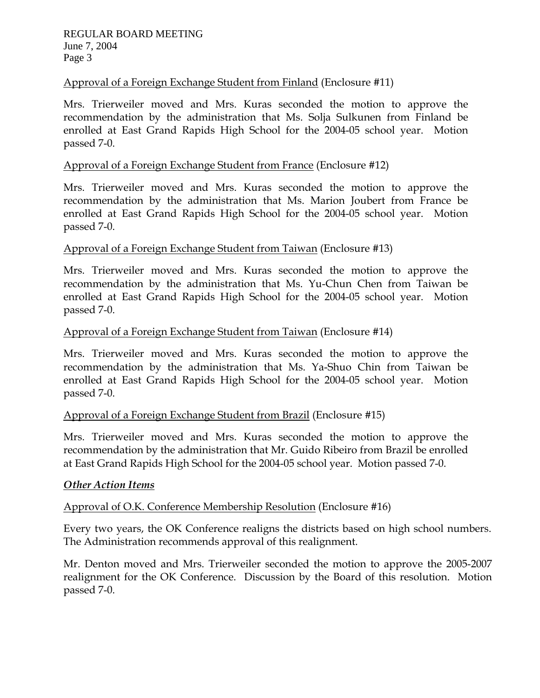# Approval of a Foreign Exchange Student from Finland (Enclosure #11)

Mrs. Trierweiler moved and Mrs. Kuras seconded the motion to approve the recommendation by the administration that Ms. Solja Sulkunen from Finland be enrolled at East Grand Rapids High School for the 2004-05 school year. Motion passed 7-0.

# Approval of a Foreign Exchange Student from France (Enclosure #12)

Mrs. Trierweiler moved and Mrs. Kuras seconded the motion to approve the recommendation by the administration that Ms. Marion Joubert from France be enrolled at East Grand Rapids High School for the 2004-05 school year. Motion passed 7-0.

## Approval of a Foreign Exchange Student from Taiwan (Enclosure #13)

Mrs. Trierweiler moved and Mrs. Kuras seconded the motion to approve the recommendation by the administration that Ms. Yu-Chun Chen from Taiwan be enrolled at East Grand Rapids High School for the 2004-05 school year. Motion passed 7-0.

#### Approval of a Foreign Exchange Student from Taiwan (Enclosure #14)

Mrs. Trierweiler moved and Mrs. Kuras seconded the motion to approve the recommendation by the administration that Ms. Ya-Shuo Chin from Taiwan be enrolled at East Grand Rapids High School for the 2004-05 school year. Motion passed 7-0.

## Approval of a Foreign Exchange Student from Brazil (Enclosure #15)

Mrs. Trierweiler moved and Mrs. Kuras seconded the motion to approve the recommendation by the administration that Mr. Guido Ribeiro from Brazil be enrolled at East Grand Rapids High School for the 2004-05 school year. Motion passed 7-0.

## *Other Action Items*

## Approval of O.K. Conference Membership Resolution (Enclosure #16)

Every two years, the OK Conference realigns the districts based on high school numbers. The Administration recommends approval of this realignment.

Mr. Denton moved and Mrs. Trierweiler seconded the motion to approve the 2005-2007 realignment for the OK Conference. Discussion by the Board of this resolution. Motion passed 7-0.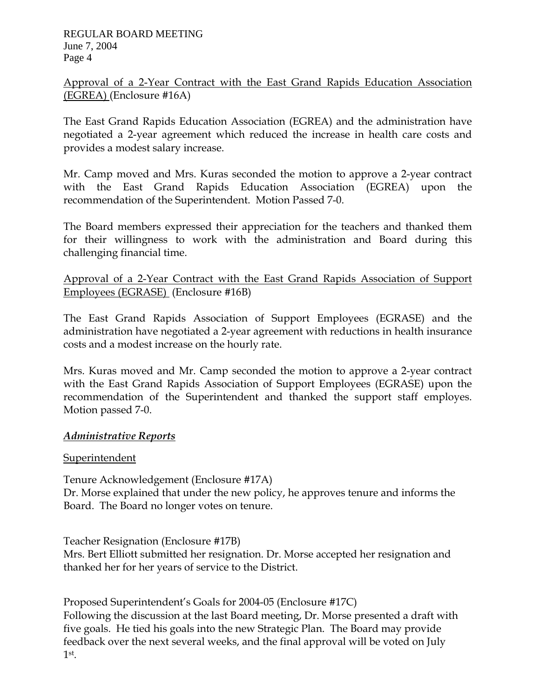Approval of a 2-Year Contract with the East Grand Rapids Education Association (EGREA) (Enclosure #16A)

The East Grand Rapids Education Association (EGREA) and the administration have negotiated a 2-year agreement which reduced the increase in health care costs and provides a modest salary increase.

Mr. Camp moved and Mrs. Kuras seconded the motion to approve a 2-year contract with the East Grand Rapids Education Association (EGREA) upon the recommendation of the Superintendent. Motion Passed 7-0.

The Board members expressed their appreciation for the teachers and thanked them for their willingness to work with the administration and Board during this challenging financial time.

Approval of a 2-Year Contract with the East Grand Rapids Association of Support Employees (EGRASE) (Enclosure #16B)

The East Grand Rapids Association of Support Employees (EGRASE) and the administration have negotiated a 2-year agreement with reductions in health insurance costs and a modest increase on the hourly rate.

Mrs. Kuras moved and Mr. Camp seconded the motion to approve a 2-year contract with the East Grand Rapids Association of Support Employees (EGRASE) upon the recommendation of the Superintendent and thanked the support staff employes. Motion passed 7-0.

# *Administrative Reports*

## Superintendent

Tenure Acknowledgement (Enclosure #17A) Dr. Morse explained that under the new policy, he approves tenure and informs the Board. The Board no longer votes on tenure.

Teacher Resignation (Enclosure #17B)

Mrs. Bert Elliott submitted her resignation. Dr. Morse accepted her resignation and thanked her for her years of service to the District.

Proposed Superintendent's Goals for 2004-05 (Enclosure #17C) Following the discussion at the last Board meeting, Dr. Morse presented a draft with five goals. He tied his goals into the new Strategic Plan. The Board may provide feedback over the next several weeks, and the final approval will be voted on July 1st.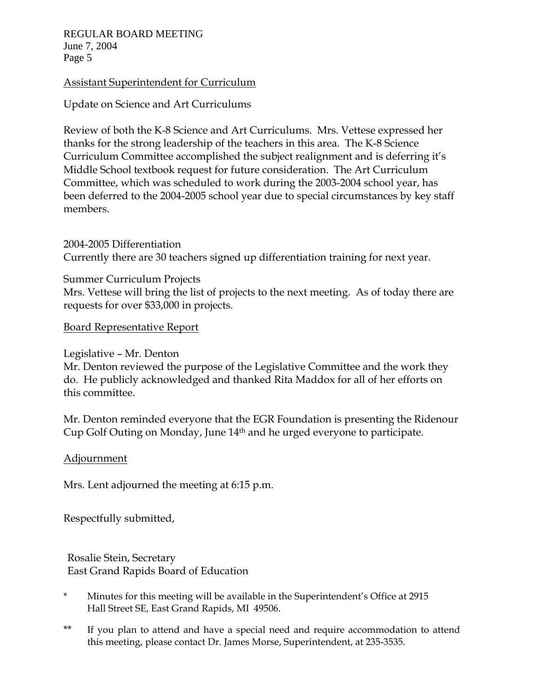REGULAR BOARD MEETING June 7, 2004 Page 5

#### Assistant Superintendent for Curriculum

Update on Science and Art Curriculums

Review of both the K-8 Science and Art Curriculums. Mrs. Vettese expressed her thanks for the strong leadership of the teachers in this area. The K-8 Science Curriculum Committee accomplished the subject realignment and is deferring it's Middle School textbook request for future consideration. The Art Curriculum Committee, which was scheduled to work during the 2003-2004 school year, has been deferred to the 2004-2005 school year due to special circumstances by key staff members.

2004-2005 Differentiation Currently there are 30 teachers signed up differentiation training for next year.

Summer Curriculum Projects Mrs. Vettese will bring the list of projects to the next meeting. As of today there are requests for over \$33,000 in projects.

Board Representative Report

#### Legislative – Mr. Denton

Mr. Denton reviewed the purpose of the Legislative Committee and the work they do. He publicly acknowledged and thanked Rita Maddox for all of her efforts on this committee.

Mr. Denton reminded everyone that the EGR Foundation is presenting the Ridenour Cup Golf Outing on Monday, June 14th and he urged everyone to participate.

## Adjournment

Mrs. Lent adjourned the meeting at 6:15 p.m.

Respectfully submitted,

Rosalie Stein, Secretary East Grand Rapids Board of Education

- \* Minutes for this meeting will be available in the Superintendent's Office at 2915 Hall Street SE, East Grand Rapids, MI 49506.
- \*\* If you plan to attend and have a special need and require accommodation to attend this meeting, please contact Dr. James Morse, Superintendent, at 235-3535.